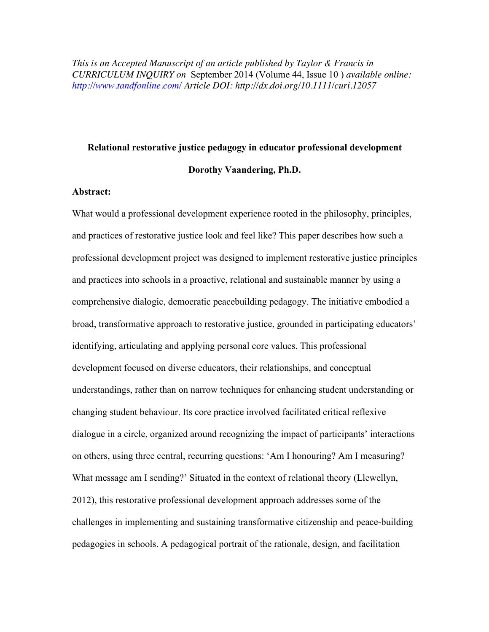*This is an Accepted Manuscript of an article published by Taylor & Francis in CURRICULUM INQUIRY on* September 2014 (Volume 44, Issue 10 ) *available online: http://www.tandfonline.com/ Article DOI: http://dx.doi.org/10.1111/curi.12057*

# **Relational restorative justice pedagogy in educator professional development Dorothy Vaandering, Ph.D.**

## **Abstract:**

What would a professional development experience rooted in the philosophy, principles, and practices of restorative justice look and feel like? This paper describes how such a professional development project was designed to implement restorative justice principles and practices into schools in a proactive, relational and sustainable manner by using a comprehensive dialogic, democratic peacebuilding pedagogy. The initiative embodied a broad, transformative approach to restorative justice, grounded in participating educators' identifying, articulating and applying personal core values. This professional development focused on diverse educators, their relationships, and conceptual understandings, rather than on narrow techniques for enhancing student understanding or changing student behaviour. Its core practice involved facilitated critical reflexive dialogue in a circle, organized around recognizing the impact of participants' interactions on others, using three central, recurring questions: 'Am I honouring? Am I measuring? What message am I sending?' Situated in the context of relational theory (Llewellyn, 2012), this restorative professional development approach addresses some of the challenges in implementing and sustaining transformative citizenship and peace-building pedagogies in schools. A pedagogical portrait of the rationale, design, and facilitation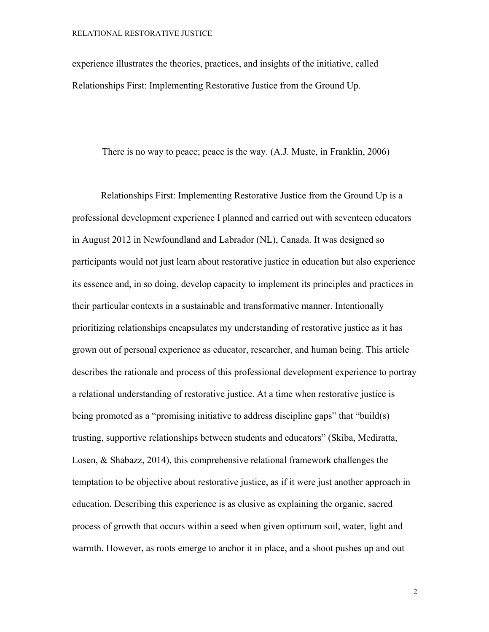experience illustrates the theories, practices, and insights of the initiative, called Relationships First: Implementing Restorative Justice from the Ground Up.

There is no way to peace; peace is the way. (A.J. Muste, in Franklin, 2006)

Relationships First: Implementing Restorative Justice from the Ground Up is a professional development experience I planned and carried out with seventeen educators in August 2012 in Newfoundland and Labrador (NL), Canada. It was designed so participants would not just learn about restorative justice in education but also experience its essence and, in so doing, develop capacity to implement its principles and practices in their particular contexts in a sustainable and transformative manner. Intentionally prioritizing relationships encapsulates my understanding of restorative justice as it has grown out of personal experience as educator, researcher, and human being. This article describes the rationale and process of this professional development experience to portray a relational understanding of restorative justice. At a time when restorative justice is being promoted as a "promising initiative to address discipline gaps" that "build(s) trusting, supportive relationships between students and educators" (Skiba, Mediratta, Losen, & Shabazz, 2014), this comprehensive relational framework challenges the temptation to be objective about restorative justice, as if it were just another approach in education. Describing this experience is as elusive as explaining the organic, sacred process of growth that occurs within a seed when given optimum soil, water, light and warmth. However, as roots emerge to anchor it in place, and a shoot pushes up and out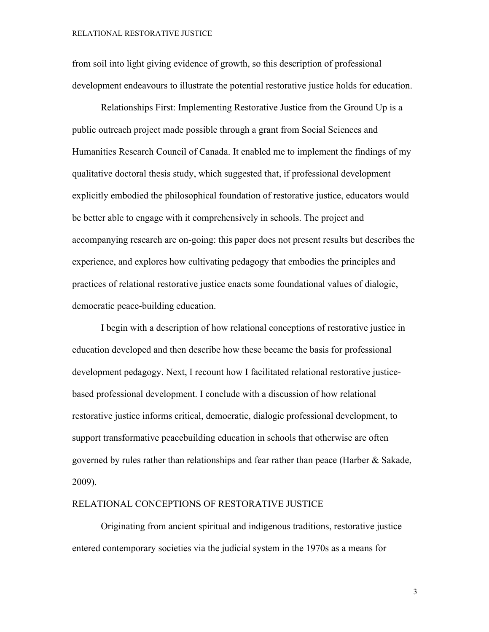from soil into light giving evidence of growth, so this description of professional development endeavours to illustrate the potential restorative justice holds for education.

Relationships First: Implementing Restorative Justice from the Ground Up is a public outreach project made possible through a grant from Social Sciences and Humanities Research Council of Canada. It enabled me to implement the findings of my qualitative doctoral thesis study, which suggested that, if professional development explicitly embodied the philosophical foundation of restorative justice, educators would be better able to engage with it comprehensively in schools. The project and accompanying research are on-going: this paper does not present results but describes the experience, and explores how cultivating pedagogy that embodies the principles and practices of relational restorative justice enacts some foundational values of dialogic, democratic peace-building education.

I begin with a description of how relational conceptions of restorative justice in education developed and then describe how these became the basis for professional development pedagogy. Next, I recount how I facilitated relational restorative justicebased professional development. I conclude with a discussion of how relational restorative justice informs critical, democratic, dialogic professional development, to support transformative peacebuilding education in schools that otherwise are often governed by rules rather than relationships and fear rather than peace (Harber & Sakade, 2009).

## RELATIONAL CONCEPTIONS OF RESTORATIVE JUSTICE

Originating from ancient spiritual and indigenous traditions, restorative justice entered contemporary societies via the judicial system in the 1970s as a means for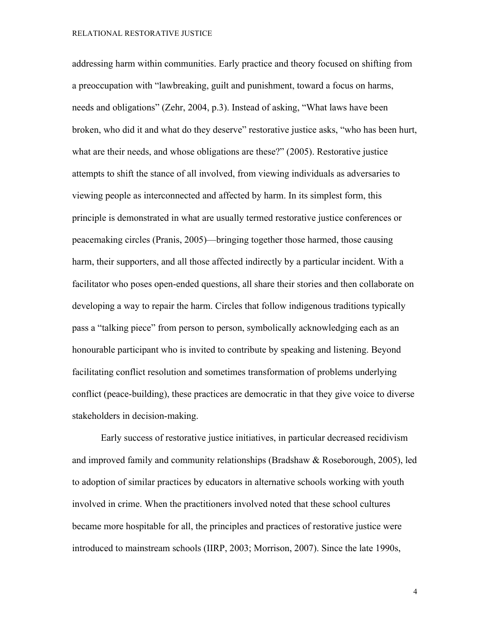addressing harm within communities. Early practice and theory focused on shifting from a preoccupation with "lawbreaking, guilt and punishment, toward a focus on harms, needs and obligations" (Zehr, 2004, p.3). Instead of asking, "What laws have been broken, who did it and what do they deserve" restorative justice asks, "who has been hurt, what are their needs, and whose obligations are these?" (2005). Restorative justice attempts to shift the stance of all involved, from viewing individuals as adversaries to viewing people as interconnected and affected by harm. In its simplest form, this principle is demonstrated in what are usually termed restorative justice conferences or peacemaking circles (Pranis, 2005)—bringing together those harmed, those causing harm, their supporters, and all those affected indirectly by a particular incident. With a facilitator who poses open-ended questions, all share their stories and then collaborate on developing a way to repair the harm. Circles that follow indigenous traditions typically pass a "talking piece" from person to person, symbolically acknowledging each as an honourable participant who is invited to contribute by speaking and listening. Beyond facilitating conflict resolution and sometimes transformation of problems underlying conflict (peace-building), these practices are democratic in that they give voice to diverse stakeholders in decision-making.

Early success of restorative justice initiatives, in particular decreased recidivism and improved family and community relationships (Bradshaw & Roseborough, 2005), led to adoption of similar practices by educators in alternative schools working with youth involved in crime. When the practitioners involved noted that these school cultures became more hospitable for all, the principles and practices of restorative justice were introduced to mainstream schools (IIRP, 2003; Morrison, 2007). Since the late 1990s,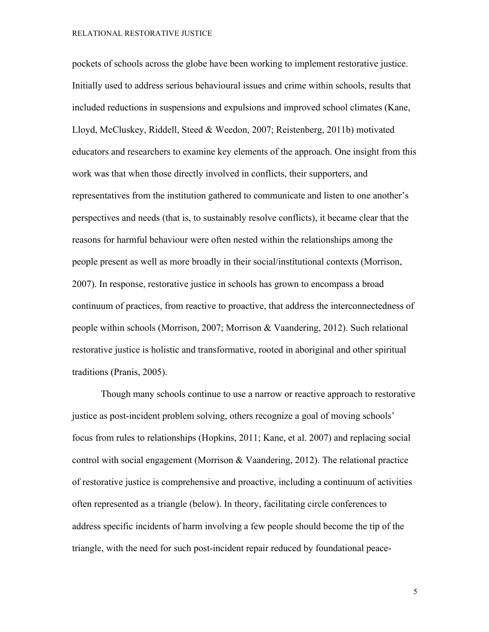pockets of schools across the globe have been working to implement restorative justice. Initially used to address serious behavioural issues and crime within schools, results that included reductions in suspensions and expulsions and improved school climates (Kane, Lloyd, McCluskey, Riddell, Steed & Weedon, 2007; Reistenberg, 2011b) motivated educators and researchers to examine key elements of the approach. One insight from this work was that when those directly involved in conflicts, their supporters, and representatives from the institution gathered to communicate and listen to one another's perspectives and needs (that is, to sustainably resolve conflicts), it became clear that the reasons for harmful behaviour were often nested within the relationships among the people present as well as more broadly in their social/institutional contexts (Morrison, 2007). In response, restorative justice in schools has grown to encompass a broad continuum of practices, from reactive to proactive, that address the interconnectedness of people within schools (Morrison, 2007; Morrison & Vaandering, 2012). Such relational restorative justice is holistic and transformative, rooted in aboriginal and other spiritual traditions (Pranis, 2005).

Though many schools continue to use a narrow or reactive approach to restorative justice as post-incident problem solving, others recognize a goal of moving schools' focus from rules to relationships (Hopkins, 2011; Kane, et al. 2007) and replacing social control with social engagement (Morrison & Vaandering, 2012). The relational practice of restorative justice is comprehensive and proactive, including a continuum of activities often represented as a triangle (below). In theory, facilitating circle conferences to address specific incidents of harm involving a few people should become the tip of the triangle, with the need for such post-incident repair reduced by foundational peace-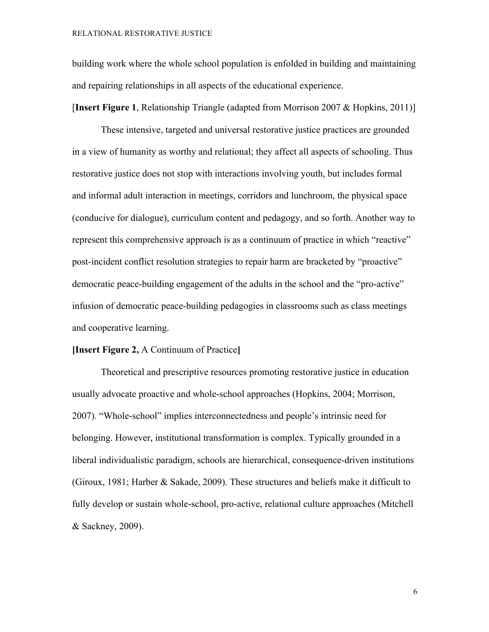building work where the whole school population is enfolded in building and maintaining and repairing relationships in all aspects of the educational experience.

[**Insert Figure 1**, Relationship Triangle (adapted from Morrison 2007 & Hopkins, 2011)]

These intensive, targeted and universal restorative justice practices are grounded in a view of humanity as worthy and relational; they affect all aspects of schooling. Thus restorative justice does not stop with interactions involving youth, but includes formal and informal adult interaction in meetings, corridors and lunchroom, the physical space (conducive for dialogue), curriculum content and pedagogy, and so forth. Another way to represent this comprehensive approach is as a continuum of practice in which "reactive" post-incident conflict resolution strategies to repair harm are bracketed by "proactive" democratic peace-building engagement of the adults in the school and the "pro-active" infusion of democratic peace-building pedagogies in classrooms such as class meetings and cooperative learning.

# **[Insert Figure 2,** A Continuum of Practice**]**

Theoretical and prescriptive resources promoting restorative justice in education usually advocate proactive and whole-school approaches (Hopkins, 2004; Morrison, 2007). "Whole-school" implies interconnectedness and people's intrinsic need for belonging. However, institutional transformation is complex. Typically grounded in a liberal individualistic paradigm, schools are hierarchical, consequence-driven institutions (Giroux, 1981; Harber & Sakade, 2009). These structures and beliefs make it difficult to fully develop or sustain whole-school, pro-active, relational culture approaches (Mitchell & Sackney, 2009).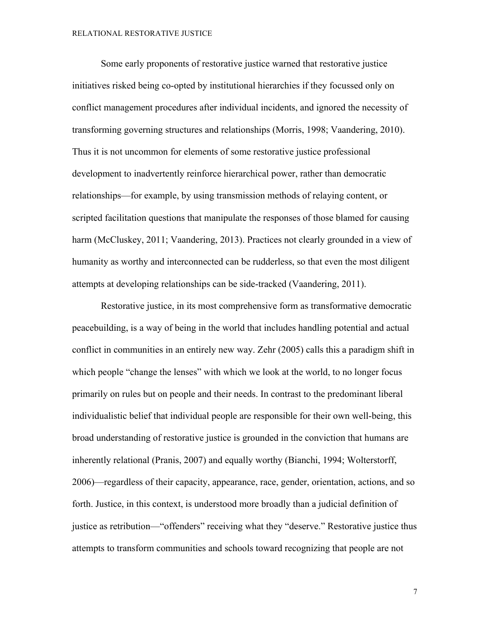Some early proponents of restorative justice warned that restorative justice initiatives risked being co-opted by institutional hierarchies if they focussed only on conflict management procedures after individual incidents, and ignored the necessity of transforming governing structures and relationships (Morris, 1998; Vaandering, 2010). Thus it is not uncommon for elements of some restorative justice professional development to inadvertently reinforce hierarchical power, rather than democratic relationships—for example, by using transmission methods of relaying content, or scripted facilitation questions that manipulate the responses of those blamed for causing harm (McCluskey, 2011; Vaandering, 2013). Practices not clearly grounded in a view of humanity as worthy and interconnected can be rudderless, so that even the most diligent attempts at developing relationships can be side-tracked (Vaandering, 2011).

Restorative justice, in its most comprehensive form as transformative democratic peacebuilding, is a way of being in the world that includes handling potential and actual conflict in communities in an entirely new way. Zehr (2005) calls this a paradigm shift in which people "change the lenses" with which we look at the world, to no longer focus primarily on rules but on people and their needs. In contrast to the predominant liberal individualistic belief that individual people are responsible for their own well-being, this broad understanding of restorative justice is grounded in the conviction that humans are inherently relational (Pranis, 2007) and equally worthy (Bianchi, 1994; Wolterstorff, 2006)—regardless of their capacity, appearance, race, gender, orientation, actions, and so forth. Justice, in this context, is understood more broadly than a judicial definition of justice as retribution—"offenders" receiving what they "deserve." Restorative justice thus attempts to transform communities and schools toward recognizing that people are not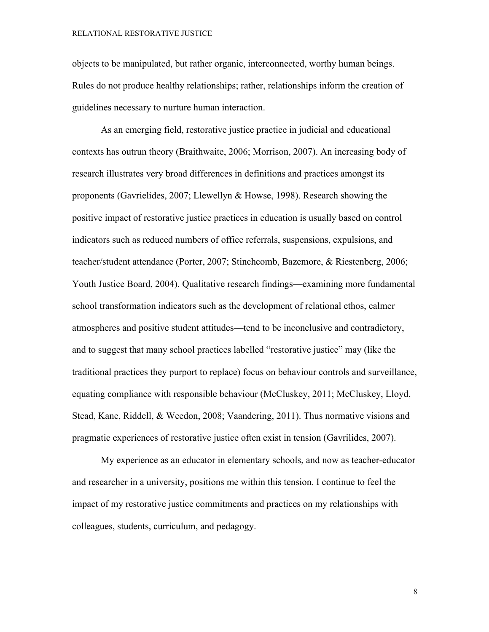objects to be manipulated, but rather organic, interconnected, worthy human beings. Rules do not produce healthy relationships; rather, relationships inform the creation of guidelines necessary to nurture human interaction.

As an emerging field, restorative justice practice in judicial and educational contexts has outrun theory (Braithwaite, 2006; Morrison, 2007). An increasing body of research illustrates very broad differences in definitions and practices amongst its proponents (Gavrielides, 2007; Llewellyn & Howse, 1998). Research showing the positive impact of restorative justice practices in education is usually based on control indicators such as reduced numbers of office referrals, suspensions, expulsions, and teacher/student attendance (Porter, 2007; Stinchcomb, Bazemore, & Riestenberg, 2006; Youth Justice Board, 2004). Qualitative research findings—examining more fundamental school transformation indicators such as the development of relational ethos, calmer atmospheres and positive student attitudes—tend to be inconclusive and contradictory, and to suggest that many school practices labelled "restorative justice" may (like the traditional practices they purport to replace) focus on behaviour controls and surveillance, equating compliance with responsible behaviour (McCluskey, 2011; McCluskey, Lloyd, Stead, Kane, Riddell, & Weedon, 2008; Vaandering, 2011). Thus normative visions and pragmatic experiences of restorative justice often exist in tension (Gavrilides, 2007).

My experience as an educator in elementary schools, and now as teacher-educator and researcher in a university, positions me within this tension. I continue to feel the impact of my restorative justice commitments and practices on my relationships with colleagues, students, curriculum, and pedagogy.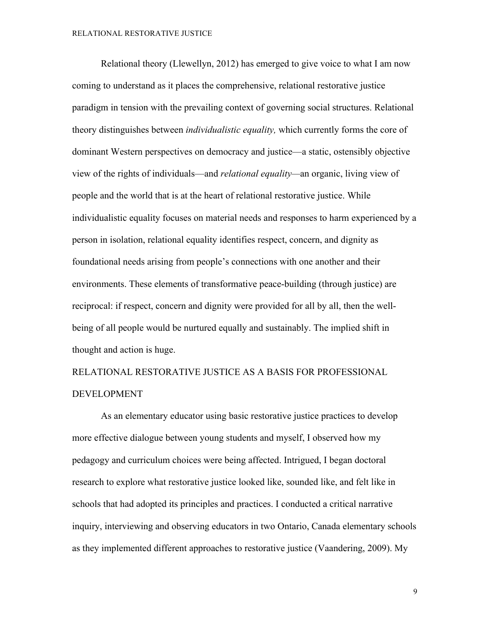Relational theory (Llewellyn, 2012) has emerged to give voice to what I am now coming to understand as it places the comprehensive, relational restorative justice paradigm in tension with the prevailing context of governing social structures. Relational theory distinguishes between *individualistic equality,* which currently forms the core of dominant Western perspectives on democracy and justice—a static, ostensibly objective view of the rights of individuals—and *relational equality—*an organic, living view of people and the world that is at the heart of relational restorative justice. While individualistic equality focuses on material needs and responses to harm experienced by a person in isolation, relational equality identifies respect, concern, and dignity as foundational needs arising from people's connections with one another and their environments. These elements of transformative peace-building (through justice) are reciprocal: if respect, concern and dignity were provided for all by all, then the wellbeing of all people would be nurtured equally and sustainably. The implied shift in thought and action is huge.

# RELATIONAL RESTORATIVE JUSTICE AS A BASIS FOR PROFESSIONAL DEVELOPMENT

As an elementary educator using basic restorative justice practices to develop more effective dialogue between young students and myself, I observed how my pedagogy and curriculum choices were being affected. Intrigued, I began doctoral research to explore what restorative justice looked like, sounded like, and felt like in schools that had adopted its principles and practices. I conducted a critical narrative inquiry, interviewing and observing educators in two Ontario, Canada elementary schools as they implemented different approaches to restorative justice (Vaandering, 2009). My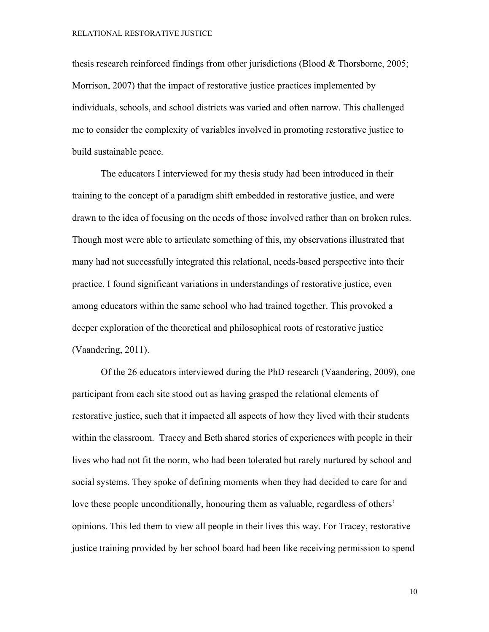thesis research reinforced findings from other jurisdictions (Blood & Thorsborne, 2005; Morrison, 2007) that the impact of restorative justice practices implemented by individuals, schools, and school districts was varied and often narrow. This challenged me to consider the complexity of variables involved in promoting restorative justice to build sustainable peace.

The educators I interviewed for my thesis study had been introduced in their training to the concept of a paradigm shift embedded in restorative justice, and were drawn to the idea of focusing on the needs of those involved rather than on broken rules. Though most were able to articulate something of this, my observations illustrated that many had not successfully integrated this relational, needs-based perspective into their practice. I found significant variations in understandings of restorative justice, even among educators within the same school who had trained together. This provoked a deeper exploration of the theoretical and philosophical roots of restorative justice (Vaandering, 2011).

Of the 26 educators interviewed during the PhD research (Vaandering, 2009), one participant from each site stood out as having grasped the relational elements of restorative justice, such that it impacted all aspects of how they lived with their students within the classroom. Tracey and Beth shared stories of experiences with people in their lives who had not fit the norm, who had been tolerated but rarely nurtured by school and social systems. They spoke of defining moments when they had decided to care for and love these people unconditionally, honouring them as valuable, regardless of others' opinions. This led them to view all people in their lives this way. For Tracey, restorative justice training provided by her school board had been like receiving permission to spend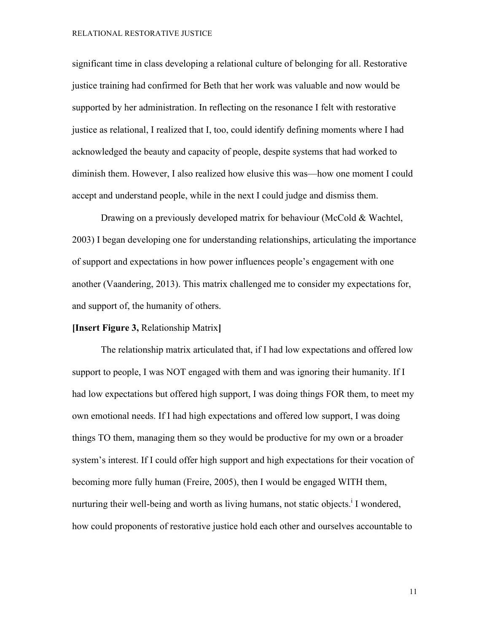significant time in class developing a relational culture of belonging for all. Restorative justice training had confirmed for Beth that her work was valuable and now would be supported by her administration. In reflecting on the resonance I felt with restorative justice as relational, I realized that I, too, could identify defining moments where I had acknowledged the beauty and capacity of people, despite systems that had worked to diminish them. However, I also realized how elusive this was—how one moment I could accept and understand people, while in the next I could judge and dismiss them.

Drawing on a previously developed matrix for behaviour (McCold & Wachtel, 2003) I began developing one for understanding relationships, articulating the importance of support and expectations in how power influences people's engagement with one another (Vaandering, 2013). This matrix challenged me to consider my expectations for, and support of, the humanity of others.

## **[Insert Figure 3,** Relationship Matrix**]**

The relationship matrix articulated that, if I had low expectations and offered low support to people, I was NOT engaged with them and was ignoring their humanity. If I had low expectations but offered high support, I was doing things FOR them, to meet my own emotional needs. If I had high expectations and offered low support, I was doing things TO them, managing them so they would be productive for my own or a broader system's interest. If I could offer high support and high expectations for their vocation of becoming more fully human (Freire, 2005), then I would be engaged WITH them, nurturing their well-being and worth as living humans, not static objects.<sup>i</sup> I wondered, how could proponents of restorative justice hold each other and ourselves accountable to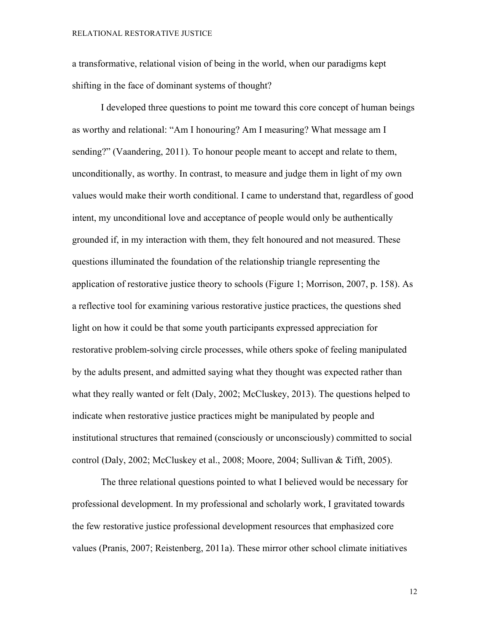a transformative, relational vision of being in the world, when our paradigms kept shifting in the face of dominant systems of thought?

I developed three questions to point me toward this core concept of human beings as worthy and relational: "Am I honouring? Am I measuring? What message am I sending?" (Vaandering, 2011). To honour people meant to accept and relate to them, unconditionally, as worthy. In contrast, to measure and judge them in light of my own values would make their worth conditional. I came to understand that, regardless of good intent, my unconditional love and acceptance of people would only be authentically grounded if, in my interaction with them, they felt honoured and not measured. These questions illuminated the foundation of the relationship triangle representing the application of restorative justice theory to schools (Figure 1; Morrison, 2007, p. 158). As a reflective tool for examining various restorative justice practices, the questions shed light on how it could be that some youth participants expressed appreciation for restorative problem-solving circle processes, while others spoke of feeling manipulated by the adults present, and admitted saying what they thought was expected rather than what they really wanted or felt (Daly, 2002; McCluskey, 2013). The questions helped to indicate when restorative justice practices might be manipulated by people and institutional structures that remained (consciously or unconsciously) committed to social control (Daly, 2002; McCluskey et al., 2008; Moore, 2004; Sullivan & Tifft, 2005).

The three relational questions pointed to what I believed would be necessary for professional development. In my professional and scholarly work, I gravitated towards the few restorative justice professional development resources that emphasized core values (Pranis, 2007; Reistenberg, 2011a). These mirror other school climate initiatives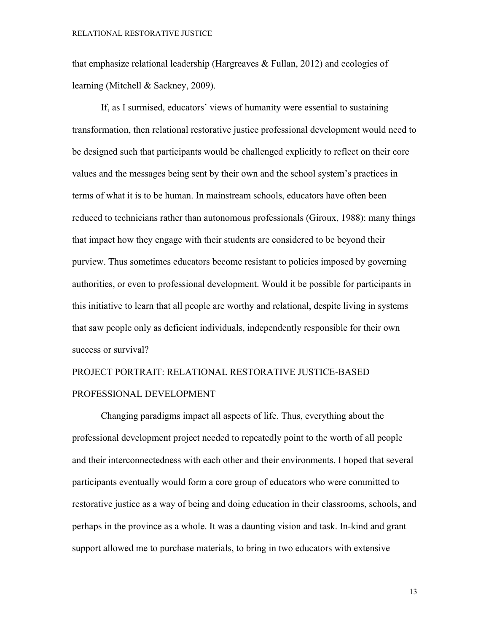that emphasize relational leadership (Hargreaves  $\&$  Fullan, 2012) and ecologies of learning (Mitchell & Sackney, 2009).

If, as I surmised, educators' views of humanity were essential to sustaining transformation, then relational restorative justice professional development would need to be designed such that participants would be challenged explicitly to reflect on their core values and the messages being sent by their own and the school system's practices in terms of what it is to be human. In mainstream schools, educators have often been reduced to technicians rather than autonomous professionals (Giroux, 1988): many things that impact how they engage with their students are considered to be beyond their purview. Thus sometimes educators become resistant to policies imposed by governing authorities, or even to professional development. Would it be possible for participants in this initiative to learn that all people are worthy and relational, despite living in systems that saw people only as deficient individuals, independently responsible for their own success or survival?

# PROJECT PORTRAIT: RELATIONAL RESTORATIVE JUSTICE-BASED PROFESSIONAL DEVELOPMENT

Changing paradigms impact all aspects of life. Thus, everything about the professional development project needed to repeatedly point to the worth of all people and their interconnectedness with each other and their environments. I hoped that several participants eventually would form a core group of educators who were committed to restorative justice as a way of being and doing education in their classrooms, schools, and perhaps in the province as a whole. It was a daunting vision and task. In-kind and grant support allowed me to purchase materials, to bring in two educators with extensive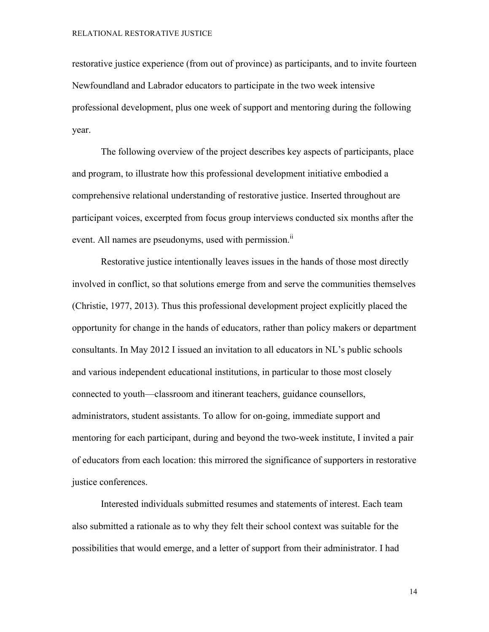restorative justice experience (from out of province) as participants, and to invite fourteen Newfoundland and Labrador educators to participate in the two week intensive professional development, plus one week of support and mentoring during the following year.

The following overview of the project describes key aspects of participants, place and program, to illustrate how this professional development initiative embodied a comprehensive relational understanding of restorative justice. Inserted throughout are participant voices, excerpted from focus group interviews conducted six months after the event. All names are pseudonyms, used with permission.<sup>ii</sup>

Restorative justice intentionally leaves issues in the hands of those most directly involved in conflict, so that solutions emerge from and serve the communities themselves (Christie, 1977, 2013). Thus this professional development project explicitly placed the opportunity for change in the hands of educators, rather than policy makers or department consultants. In May 2012 I issued an invitation to all educators in NL's public schools and various independent educational institutions, in particular to those most closely connected to youth—classroom and itinerant teachers, guidance counsellors, administrators, student assistants. To allow for on-going, immediate support and mentoring for each participant, during and beyond the two-week institute, I invited a pair of educators from each location: this mirrored the significance of supporters in restorative justice conferences.

Interested individuals submitted resumes and statements of interest. Each team also submitted a rationale as to why they felt their school context was suitable for the possibilities that would emerge, and a letter of support from their administrator. I had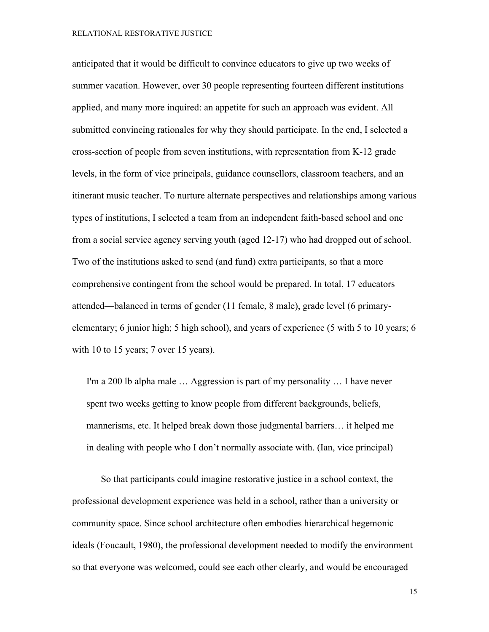anticipated that it would be difficult to convince educators to give up two weeks of summer vacation. However, over 30 people representing fourteen different institutions applied, and many more inquired: an appetite for such an approach was evident. All submitted convincing rationales for why they should participate. In the end, I selected a cross-section of people from seven institutions, with representation from K-12 grade levels, in the form of vice principals, guidance counsellors, classroom teachers, and an itinerant music teacher. To nurture alternate perspectives and relationships among various types of institutions, I selected a team from an independent faith-based school and one from a social service agency serving youth (aged 12-17) who had dropped out of school. Two of the institutions asked to send (and fund) extra participants, so that a more comprehensive contingent from the school would be prepared. In total, 17 educators attended—balanced in terms of gender (11 female, 8 male), grade level (6 primaryelementary; 6 junior high; 5 high school), and years of experience (5 with 5 to 10 years; 6 with 10 to 15 years; 7 over 15 years).

I'm a 200 lb alpha male … Aggression is part of my personality … I have never spent two weeks getting to know people from different backgrounds, beliefs, mannerisms, etc. It helped break down those judgmental barriers… it helped me in dealing with people who I don't normally associate with. (Ian, vice principal)

So that participants could imagine restorative justice in a school context, the professional development experience was held in a school, rather than a university or community space. Since school architecture often embodies hierarchical hegemonic ideals (Foucault, 1980), the professional development needed to modify the environment so that everyone was welcomed, could see each other clearly, and would be encouraged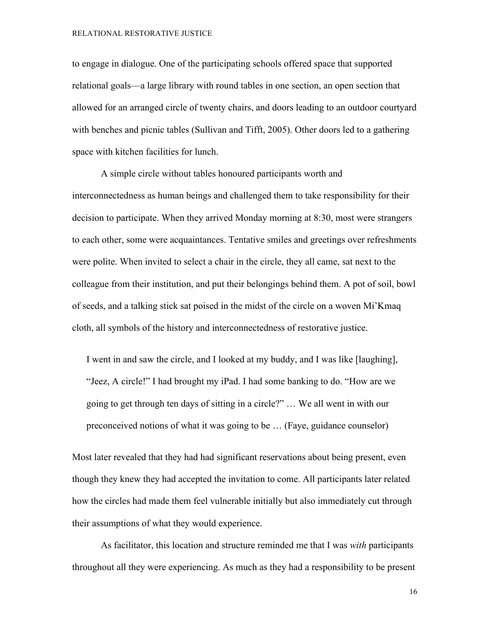to engage in dialogue. One of the participating schools offered space that supported relational goals—a large library with round tables in one section, an open section that allowed for an arranged circle of twenty chairs, and doors leading to an outdoor courtyard with benches and picnic tables (Sullivan and Tifft, 2005). Other doors led to a gathering space with kitchen facilities for lunch.

A simple circle without tables honoured participants worth and interconnectedness as human beings and challenged them to take responsibility for their decision to participate. When they arrived Monday morning at 8:30, most were strangers to each other, some were acquaintances. Tentative smiles and greetings over refreshments were polite. When invited to select a chair in the circle, they all came, sat next to the colleague from their institution, and put their belongings behind them. A pot of soil, bowl of seeds, and a talking stick sat poised in the midst of the circle on a woven Mi'Kmaq cloth, all symbols of the history and interconnectedness of restorative justice.

I went in and saw the circle, and I looked at my buddy, and I was like [laughing], "Jeez, A circle!" I had brought my iPad. I had some banking to do. "How are we going to get through ten days of sitting in a circle?" … We all went in with our preconceived notions of what it was going to be … (Faye, guidance counselor)

Most later revealed that they had had significant reservations about being present, even though they knew they had accepted the invitation to come. All participants later related how the circles had made them feel vulnerable initially but also immediately cut through their assumptions of what they would experience.

As facilitator, this location and structure reminded me that I was *with* participants throughout all they were experiencing. As much as they had a responsibility to be present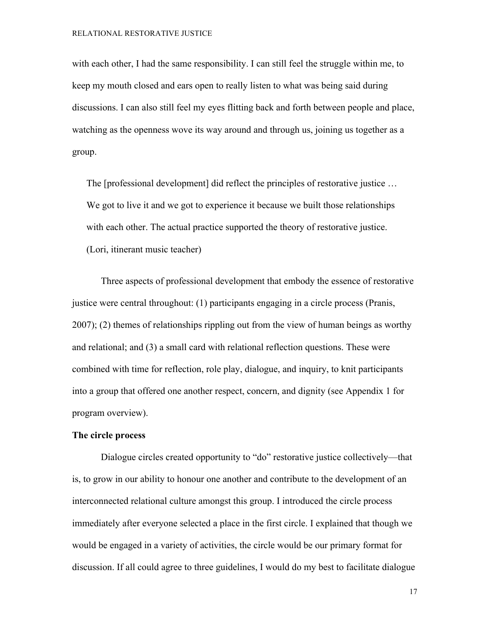with each other, I had the same responsibility. I can still feel the struggle within me, to keep my mouth closed and ears open to really listen to what was being said during discussions. I can also still feel my eyes flitting back and forth between people and place, watching as the openness wove its way around and through us, joining us together as a group.

The [professional development] did reflect the principles of restorative justice … We got to live it and we got to experience it because we built those relationships with each other. The actual practice supported the theory of restorative justice. (Lori, itinerant music teacher)

Three aspects of professional development that embody the essence of restorative justice were central throughout: (1) participants engaging in a circle process (Pranis, 2007); (2) themes of relationships rippling out from the view of human beings as worthy and relational; and (3) a small card with relational reflection questions. These were combined with time for reflection, role play, dialogue, and inquiry, to knit participants into a group that offered one another respect, concern, and dignity (see Appendix 1 for program overview).

## **The circle process**

Dialogue circles created opportunity to "do" restorative justice collectively—that is, to grow in our ability to honour one another and contribute to the development of an interconnected relational culture amongst this group. I introduced the circle process immediately after everyone selected a place in the first circle. I explained that though we would be engaged in a variety of activities, the circle would be our primary format for discussion. If all could agree to three guidelines, I would do my best to facilitate dialogue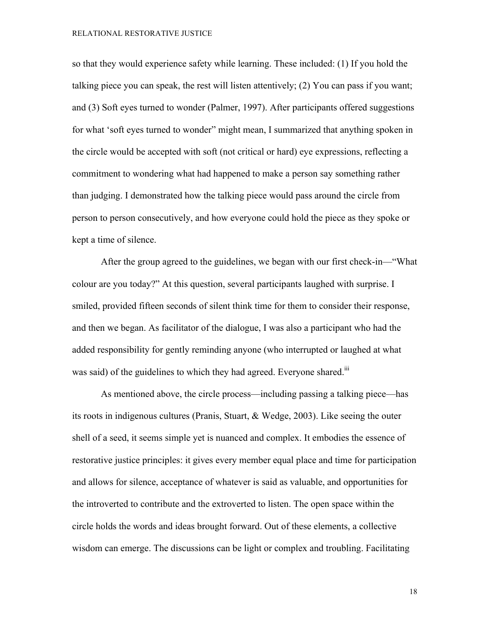so that they would experience safety while learning. These included: (1) If you hold the talking piece you can speak, the rest will listen attentively; (2) You can pass if you want; and (3) Soft eyes turned to wonder (Palmer, 1997). After participants offered suggestions for what 'soft eyes turned to wonder" might mean, I summarized that anything spoken in the circle would be accepted with soft (not critical or hard) eye expressions, reflecting a commitment to wondering what had happened to make a person say something rather than judging. I demonstrated how the talking piece would pass around the circle from person to person consecutively, and how everyone could hold the piece as they spoke or kept a time of silence.

After the group agreed to the guidelines, we began with our first check-in—"What colour are you today?" At this question, several participants laughed with surprise. I smiled, provided fifteen seconds of silent think time for them to consider their response, and then we began. As facilitator of the dialogue, I was also a participant who had the added responsibility for gently reminding anyone (who interrupted or laughed at what was said) of the guidelines to which they had agreed. Everyone shared.<sup>iii</sup>

As mentioned above, the circle process—including passing a talking piece—has its roots in indigenous cultures (Pranis, Stuart, & Wedge, 2003). Like seeing the outer shell of a seed, it seems simple yet is nuanced and complex. It embodies the essence of restorative justice principles: it gives every member equal place and time for participation and allows for silence, acceptance of whatever is said as valuable, and opportunities for the introverted to contribute and the extroverted to listen. The open space within the circle holds the words and ideas brought forward. Out of these elements, a collective wisdom can emerge. The discussions can be light or complex and troubling. Facilitating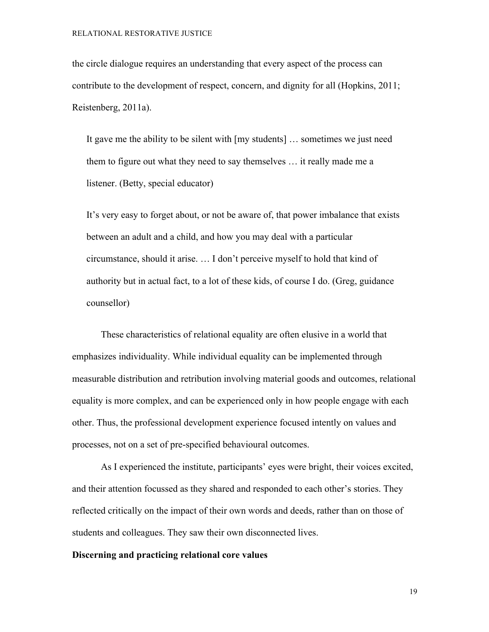the circle dialogue requires an understanding that every aspect of the process can contribute to the development of respect, concern, and dignity for all (Hopkins, 2011; Reistenberg, 2011a).

It gave me the ability to be silent with [my students] … sometimes we just need them to figure out what they need to say themselves … it really made me a listener. (Betty, special educator)

It's very easy to forget about, or not be aware of, that power imbalance that exists between an adult and a child, and how you may deal with a particular circumstance, should it arise. … I don't perceive myself to hold that kind of authority but in actual fact, to a lot of these kids, of course I do. (Greg, guidance counsellor)

These characteristics of relational equality are often elusive in a world that emphasizes individuality. While individual equality can be implemented through measurable distribution and retribution involving material goods and outcomes, relational equality is more complex, and can be experienced only in how people engage with each other. Thus, the professional development experience focused intently on values and processes, not on a set of pre-specified behavioural outcomes.

As I experienced the institute, participants' eyes were bright, their voices excited, and their attention focussed as they shared and responded to each other's stories. They reflected critically on the impact of their own words and deeds, rather than on those of students and colleagues. They saw their own disconnected lives.

## **Discerning and practicing relational core values**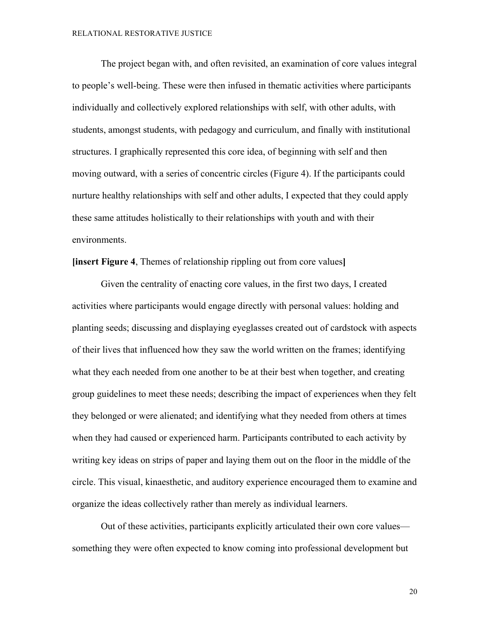The project began with, and often revisited, an examination of core values integral to people's well-being. These were then infused in thematic activities where participants individually and collectively explored relationships with self, with other adults, with students, amongst students, with pedagogy and curriculum, and finally with institutional structures. I graphically represented this core idea, of beginning with self and then moving outward, with a series of concentric circles (Figure 4). If the participants could nurture healthy relationships with self and other adults, I expected that they could apply these same attitudes holistically to their relationships with youth and with their environments.

**[insert Figure 4**, Themes of relationship rippling out from core values**]**

Given the centrality of enacting core values, in the first two days, I created activities where participants would engage directly with personal values: holding and planting seeds; discussing and displaying eyeglasses created out of cardstock with aspects of their lives that influenced how they saw the world written on the frames; identifying what they each needed from one another to be at their best when together, and creating group guidelines to meet these needs; describing the impact of experiences when they felt they belonged or were alienated; and identifying what they needed from others at times when they had caused or experienced harm. Participants contributed to each activity by writing key ideas on strips of paper and laying them out on the floor in the middle of the circle. This visual, kinaesthetic, and auditory experience encouraged them to examine and organize the ideas collectively rather than merely as individual learners.

Out of these activities, participants explicitly articulated their own core values something they were often expected to know coming into professional development but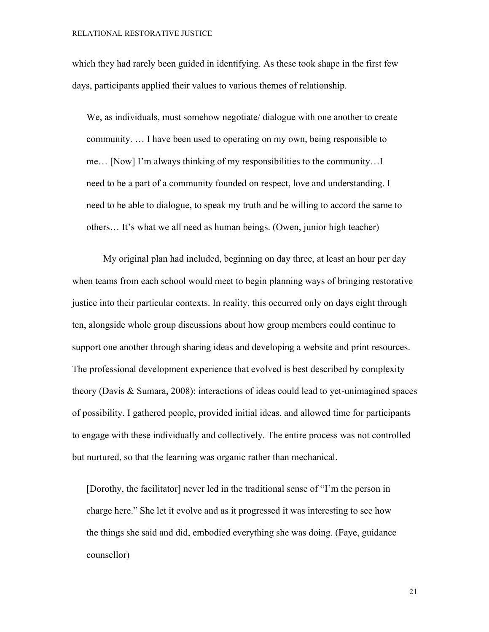which they had rarely been guided in identifying. As these took shape in the first few days, participants applied their values to various themes of relationship.

We, as individuals, must somehow negotiate/ dialogue with one another to create community. … I have been used to operating on my own, being responsible to me… [Now] I'm always thinking of my responsibilities to the community…I need to be a part of a community founded on respect, love and understanding. I need to be able to dialogue, to speak my truth and be willing to accord the same to others… It's what we all need as human beings. (Owen, junior high teacher)

My original plan had included, beginning on day three, at least an hour per day when teams from each school would meet to begin planning ways of bringing restorative justice into their particular contexts. In reality, this occurred only on days eight through ten, alongside whole group discussions about how group members could continue to support one another through sharing ideas and developing a website and print resources. The professional development experience that evolved is best described by complexity theory (Davis & Sumara, 2008): interactions of ideas could lead to yet-unimagined spaces of possibility. I gathered people, provided initial ideas, and allowed time for participants to engage with these individually and collectively. The entire process was not controlled but nurtured, so that the learning was organic rather than mechanical.

[Dorothy, the facilitator] never led in the traditional sense of "I'm the person in charge here." She let it evolve and as it progressed it was interesting to see how the things she said and did, embodied everything she was doing. (Faye, guidance counsellor)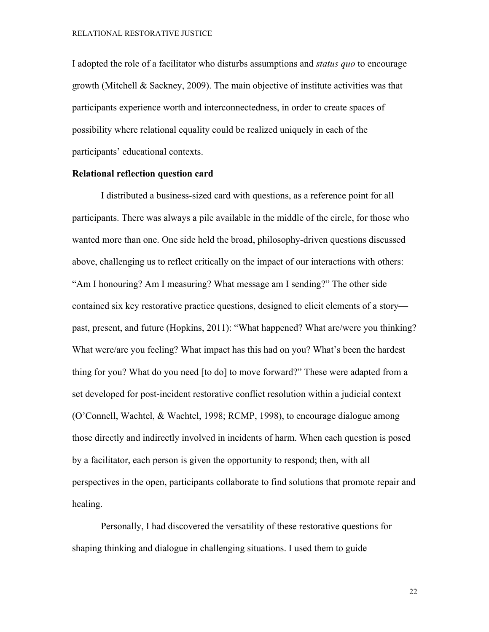I adopted the role of a facilitator who disturbs assumptions and *status quo* to encourage growth (Mitchell & Sackney, 2009). The main objective of institute activities was that participants experience worth and interconnectedness, in order to create spaces of possibility where relational equality could be realized uniquely in each of the participants' educational contexts.

## **Relational reflection question card**

I distributed a business-sized card with questions, as a reference point for all participants. There was always a pile available in the middle of the circle, for those who wanted more than one. One side held the broad, philosophy-driven questions discussed above, challenging us to reflect critically on the impact of our interactions with others: "Am I honouring? Am I measuring? What message am I sending?" The other side contained six key restorative practice questions, designed to elicit elements of a story past, present, and future (Hopkins, 2011): "What happened? What are/were you thinking? What were/are you feeling? What impact has this had on you? What's been the hardest thing for you? What do you need [to do] to move forward?" These were adapted from a set developed for post-incident restorative conflict resolution within a judicial context (O'Connell, Wachtel, & Wachtel, 1998; RCMP, 1998), to encourage dialogue among those directly and indirectly involved in incidents of harm. When each question is posed by a facilitator, each person is given the opportunity to respond; then, with all perspectives in the open, participants collaborate to find solutions that promote repair and healing.

Personally, I had discovered the versatility of these restorative questions for shaping thinking and dialogue in challenging situations. I used them to guide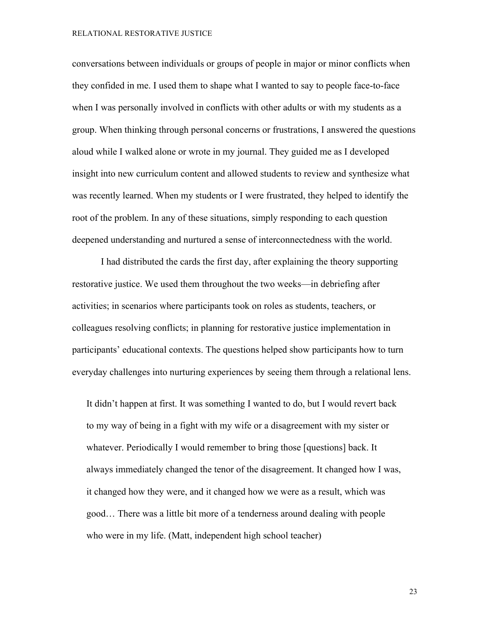conversations between individuals or groups of people in major or minor conflicts when they confided in me. I used them to shape what I wanted to say to people face-to-face when I was personally involved in conflicts with other adults or with my students as a group. When thinking through personal concerns or frustrations, I answered the questions aloud while I walked alone or wrote in my journal. They guided me as I developed insight into new curriculum content and allowed students to review and synthesize what was recently learned. When my students or I were frustrated, they helped to identify the root of the problem. In any of these situations, simply responding to each question deepened understanding and nurtured a sense of interconnectedness with the world.

I had distributed the cards the first day, after explaining the theory supporting restorative justice. We used them throughout the two weeks—in debriefing after activities; in scenarios where participants took on roles as students, teachers, or colleagues resolving conflicts; in planning for restorative justice implementation in participants' educational contexts. The questions helped show participants how to turn everyday challenges into nurturing experiences by seeing them through a relational lens.

It didn't happen at first. It was something I wanted to do, but I would revert back to my way of being in a fight with my wife or a disagreement with my sister or whatever. Periodically I would remember to bring those [questions] back. It always immediately changed the tenor of the disagreement. It changed how I was, it changed how they were, and it changed how we were as a result, which was good… There was a little bit more of a tenderness around dealing with people who were in my life. (Matt, independent high school teacher)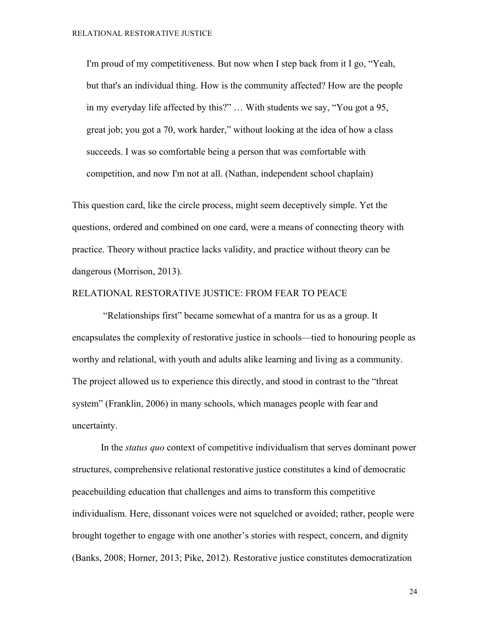I'm proud of my competitiveness. But now when I step back from it I go, "Yeah, but that's an individual thing. How is the community affected? How are the people in my everyday life affected by this?" … With students we say, "You got a 95, great job; you got a 70, work harder," without looking at the idea of how a class succeeds. I was so comfortable being a person that was comfortable with competition, and now I'm not at all. (Nathan, independent school chaplain)

This question card, like the circle process, might seem deceptively simple. Yet the questions, ordered and combined on one card, were a means of connecting theory with practice. Theory without practice lacks validity, and practice without theory can be dangerous (Morrison, 2013).

# RELATIONAL RESTORATIVE JUSTICE: FROM FEAR TO PEACE

"Relationships first" became somewhat of a mantra for us as a group. It encapsulates the complexity of restorative justice in schools—tied to honouring people as worthy and relational, with youth and adults alike learning and living as a community. The project allowed us to experience this directly, and stood in contrast to the "threat system" (Franklin, 2006) in many schools, which manages people with fear and uncertainty.

In the *status quo* context of competitive individualism that serves dominant power structures, comprehensive relational restorative justice constitutes a kind of democratic peacebuilding education that challenges and aims to transform this competitive individualism*.* Here, dissonant voices were not squelched or avoided; rather, people were brought together to engage with one another's stories with respect, concern, and dignity (Banks, 2008; Horner, 2013; Pike, 2012). Restorative justice constitutes democratization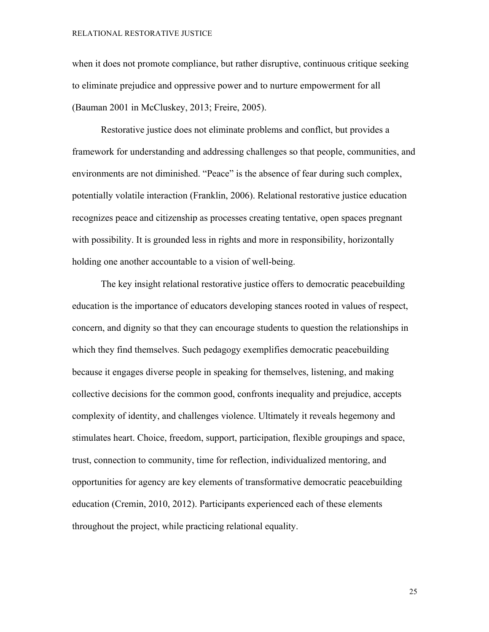when it does not promote compliance, but rather disruptive, continuous critique seeking to eliminate prejudice and oppressive power and to nurture empowerment for all (Bauman 2001 in McCluskey, 2013; Freire, 2005).

Restorative justice does not eliminate problems and conflict, but provides a framework for understanding and addressing challenges so that people, communities, and environments are not diminished. "Peace" is the absence of fear during such complex, potentially volatile interaction (Franklin, 2006). Relational restorative justice education recognizes peace and citizenship as processes creating tentative, open spaces pregnant with possibility. It is grounded less in rights and more in responsibility, horizontally holding one another accountable to a vision of well-being.

The key insight relational restorative justice offers to democratic peacebuilding education is the importance of educators developing stances rooted in values of respect, concern, and dignity so that they can encourage students to question the relationships in which they find themselves. Such pedagogy exemplifies democratic peacebuilding because it engages diverse people in speaking for themselves, listening, and making collective decisions for the common good, confronts inequality and prejudice, accepts complexity of identity, and challenges violence. Ultimately it reveals hegemony and stimulates heart. Choice, freedom, support, participation, flexible groupings and space, trust, connection to community, time for reflection, individualized mentoring, and opportunities for agency are key elements of transformative democratic peacebuilding education (Cremin, 2010, 2012). Participants experienced each of these elements throughout the project, while practicing relational equality.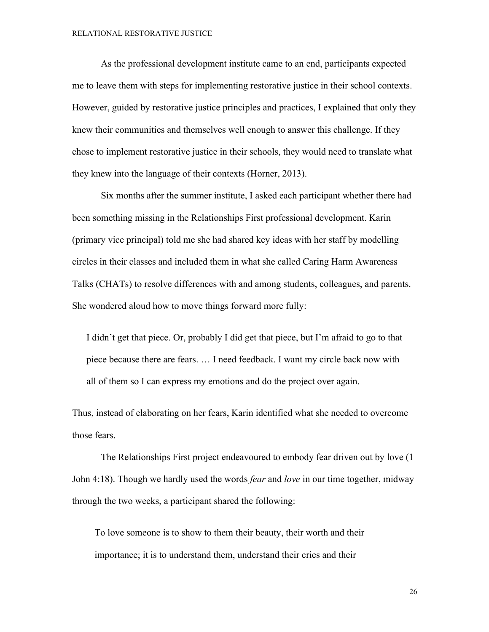As the professional development institute came to an end, participants expected me to leave them with steps for implementing restorative justice in their school contexts. However, guided by restorative justice principles and practices, I explained that only they knew their communities and themselves well enough to answer this challenge. If they chose to implement restorative justice in their schools, they would need to translate what they knew into the language of their contexts (Horner, 2013).

Six months after the summer institute, I asked each participant whether there had been something missing in the Relationships First professional development. Karin (primary vice principal) told me she had shared key ideas with her staff by modelling circles in their classes and included them in what she called Caring Harm Awareness Talks (CHATs) to resolve differences with and among students, colleagues, and parents. She wondered aloud how to move things forward more fully:

I didn't get that piece. Or, probably I did get that piece, but I'm afraid to go to that piece because there are fears. … I need feedback. I want my circle back now with all of them so I can express my emotions and do the project over again.

Thus, instead of elaborating on her fears, Karin identified what she needed to overcome those fears.

The Relationships First project endeavoured to embody fear driven out by love (1 John 4:18). Though we hardly used the words *fear* and *love* in our time together, midway through the two weeks, a participant shared the following:

To love someone is to show to them their beauty, their worth and their importance; it is to understand them, understand their cries and their